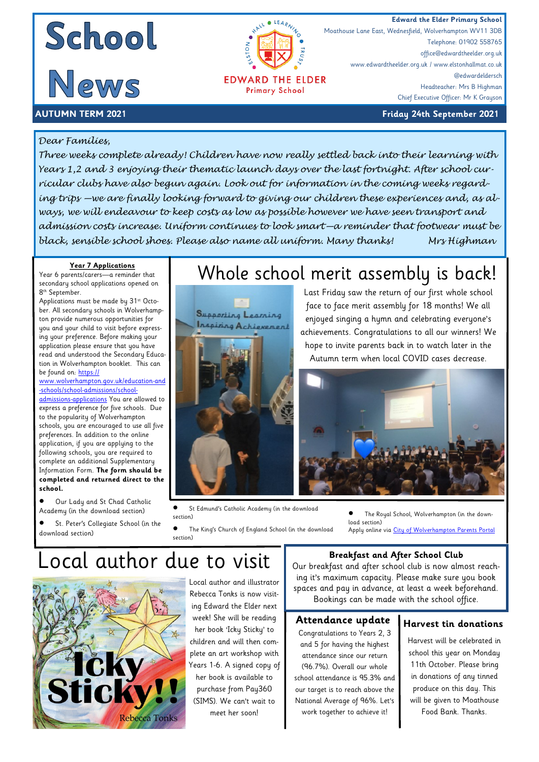### **Edward the Elder Primary School**<br> **Edward the Elder Primary School**<br>
Moathouse Lane East, Wednesfield, Wolverhampton WV11 3DB

Telephone: 01902 558765 office@edwardtheelder.org.uk

Headteacher: Mrs B Highman Chief Executive Officer: Mr K Grayson

@edwardeldersch

Moathouse Lane East, Wednesfield, Wolverhampton WV11 3DB

www.edwardtheelder.org.uk / www.elstonhallmat.co.uk



**AUTUMN TERM 2021 Friday 24th September 2021**

#### *Dear Families,*

*Three weeks complete already! Children have now really settled back into their learning with Years 1,2 and 3 enjoying their thematic launch days over the last fortnight. After school curricular clubs have also begun again. Look out for information in the coming weeks regarding trips —we are finally looking forward to giving our children these experiences and, as always, we will endeavour to keep costs as low as possible however we have seen transport and admission costs increase. Uniform continues to look smart—a reminder that footwear must be black, sensible school shoes. Please also name all uniform. Many thanks! Mrs Highman* 

**EDWARD THE ELDER Primary School** 

 $\bullet$ 

#### **Year 7 Applications**

Year 6 parents/carers—a reminder that secondary school applications opened on 8<sup>th</sup> September.

Applications must be made by 31<sup>st</sup> October. All secondary schools in Wolverhampton provide numerous opportunities for you and your child to visit before expressing your preference. Before making your application please ensure that you have read and understood the Secondary Education in Wolverhampton booklet. This can be found on: [https://](https://www.wolverhampton.gov.uk/education-and-schools/school-admissions/school-admissions-applications)

[www.wolverhampton.gov.uk/education-and](https://www.wolverhampton.gov.uk/education-and-schools/school-admissions/school-admissions-applications) [-schools/school-admissions/school-](https://www.wolverhampton.gov.uk/education-and-schools/school-admissions/school-admissions-applications)

[admissions-applications](https://www.wolverhampton.gov.uk/education-and-schools/school-admissions/school-admissions-applications) You are allowed to express a preference for five schools. Due to the popularity of Wolverhampton schools, you are encouraged to use all five preferences. In addition to the online application, if you are applying to the following schools, you are required to complete an additional Supplementary Information Form. **The form should be completed and returned direct to the school.**

- Our Lady and St Chad Catholic Academy (in the download section)
- St. Peter's Collegiate School (in the download section)

### Whole school merit assembly is back!





 St Edmund's Catholic Academy (in the download section)

 The King's Church of England School (in the download section)

Last Friday saw the return of our first whole school face to face merit assembly for 18 months! We all enjoyed singing a hymn and celebrating everyone's achievements. Congratulations to all our winners! We hope to invite parents back in to watch later in the Autumn term when local COVID cases decrease.

> The Royal School, Wolverhampton (in the download section)

Apply online via [City of Wolverhampton Parents Portal](https://ems.wolverhampton.gov.uk/CitizenPortal_LIVE/en?ReturnUrl=%2FCitizenPortal_LIVE%2F)

## Local author due to visit



Local author and illustrator Rebecca Tonks is now visiting Edward the Elder next week! She will be reading her book 'Icky Sticky' to children and will then complete an art workshop with Years 1-6. A signed copy of her book is available to purchase from Pay360 (SIMS). We can't wait to meet her soon!

#### **Breakfast and After School Club**

Our breakfast and after school club is now almost reaching it's maximum capacity. Please make sure you book spaces and pay in advance, at least a week beforehand. Bookings can be made with the school office.

#### **Attendance update**

Congratulations to Years 2, 3 and 5 for having the highest attendance since our return (96.7%). Overall our whole school attendance is 95.3% and our target is to reach above the National Average of 96%. Let's work together to achieve it!

#### **Harvest tin donations**

Harvest will be celebrated in school this year on Monday 11th October. Please bring in donations of any tinned produce on this day. This will be given to Moathouse Food Bank. Thanks.